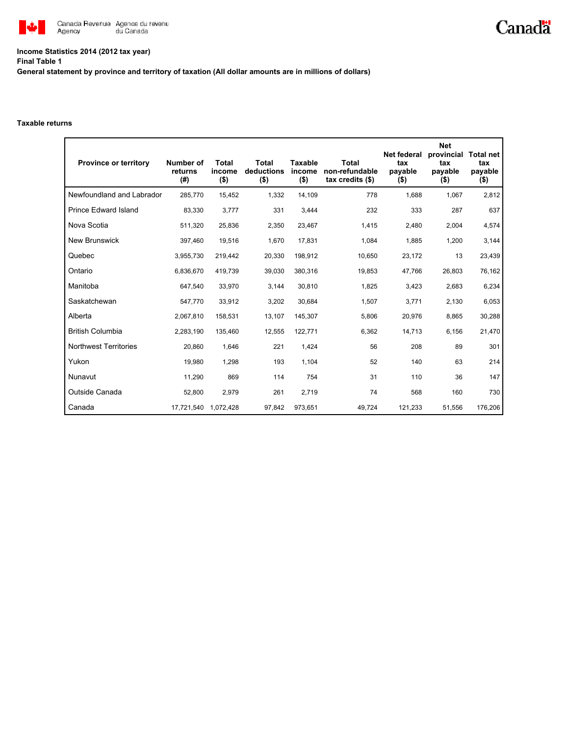

## **Income Statistics 2014 (2012 tax year) Final Table 1**

**General statement by province and territory of taxation (All dollar amounts are in millions of dollars)**

## **Taxable returns**

| <b>Province or territory</b> | Number of<br>returns<br>(#) | <b>Total</b><br>income<br>$($ \$) | <b>Total</b><br>deductions<br>$($ \$) | <b>Taxable</b><br>income<br>$($ \$) | Total<br>non-refundable<br>$tax$ credits $(\$)$ | Net federal<br>tax<br>payable<br>$($ \$) | <b>Net</b><br>provincial<br>tax<br>payable<br>$($ \$) | <b>Total net</b><br>tax<br>payable<br>(\$) |
|------------------------------|-----------------------------|-----------------------------------|---------------------------------------|-------------------------------------|-------------------------------------------------|------------------------------------------|-------------------------------------------------------|--------------------------------------------|
| Newfoundland and Labrador    | 285.770                     | 15,452                            | 1,332                                 | 14,109                              | 778                                             | 1,688                                    | 1,067                                                 | 2,812                                      |
| <b>Prince Edward Island</b>  | 83,330                      | 3,777                             | 331                                   | 3,444                               | 232                                             | 333                                      | 287                                                   | 637                                        |
| Nova Scotia                  | 511,320                     | 25,836                            | 2,350                                 | 23,467                              | 1,415                                           | 2,480                                    | 2,004                                                 | 4,574                                      |
| New Brunswick                | 397,460                     | 19,516                            | 1,670                                 | 17,831                              | 1,084                                           | 1,885                                    | 1,200                                                 | 3,144                                      |
| Quebec                       | 3,955,730                   | 219,442                           | 20,330                                | 198,912                             | 10,650                                          | 23,172                                   | 13                                                    | 23,439                                     |
| Ontario                      | 6,836,670                   | 419,739                           | 39,030                                | 380,316                             | 19,853                                          | 47,766                                   | 26,803                                                | 76,162                                     |
| Manitoba                     | 647,540                     | 33,970                            | 3,144                                 | 30,810                              | 1,825                                           | 3,423                                    | 2,683                                                 | 6,234                                      |
| Saskatchewan                 | 547,770                     | 33,912                            | 3,202                                 | 30.684                              | 1,507                                           | 3.771                                    | 2,130                                                 | 6,053                                      |
| Alberta                      | 2,067,810                   | 158,531                           | 13,107                                | 145,307                             | 5,806                                           | 20,976                                   | 8,865                                                 | 30,288                                     |
| <b>British Columbia</b>      | 2,283,190                   | 135,460                           | 12,555                                | 122,771                             | 6,362                                           | 14,713                                   | 6,156                                                 | 21,470                                     |
| <b>Northwest Territories</b> | 20,860                      | 1,646                             | 221                                   | 1,424                               | 56                                              | 208                                      | 89                                                    | 301                                        |
| Yukon                        | 19,980                      | 1,298                             | 193                                   | 1,104                               | 52                                              | 140                                      | 63                                                    | 214                                        |
| Nunavut                      | 11,290                      | 869                               | 114                                   | 754                                 | 31                                              | 110                                      | 36                                                    | 147                                        |
| Outside Canada               | 52,800                      | 2,979                             | 261                                   | 2.719                               | 74                                              | 568                                      | 160                                                   | 730                                        |
| Canada                       | 17,721,540                  | 1,072,428                         | 97,842                                | 973,651                             | 49,724                                          | 121,233                                  | 51,556                                                | 176,206                                    |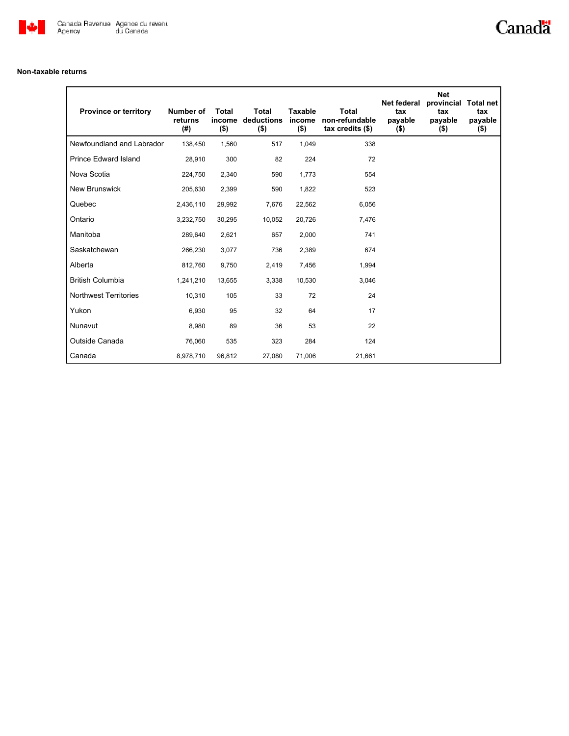

## **Non-taxable returns**

| <b>Province or territory</b> | Number of<br>returns<br>(#) | <b>Total</b><br>income<br>$($ \$) | <b>Total</b><br>deductions<br>$($ \$) | <b>Taxable</b><br>income<br>$($ \$) | <b>Total</b><br>non-refundable<br>$tax$ credits $(\$)$ | <b>Net federal</b><br>tax<br>payable<br>$($ \$) | <b>Net</b><br>provincial<br>tax<br>payable<br>$($ \$) | <b>Total net</b><br>tax<br>payable<br>$($ \$) |
|------------------------------|-----------------------------|-----------------------------------|---------------------------------------|-------------------------------------|--------------------------------------------------------|-------------------------------------------------|-------------------------------------------------------|-----------------------------------------------|
| Newfoundland and Labrador    | 138,450                     | 1,560                             | 517                                   | 1,049                               | 338                                                    |                                                 |                                                       |                                               |
| <b>Prince Edward Island</b>  | 28,910                      | 300                               | 82                                    | 224                                 | 72                                                     |                                                 |                                                       |                                               |
| Nova Scotia                  | 224,750                     | 2,340                             | 590                                   | 1,773                               | 554                                                    |                                                 |                                                       |                                               |
| <b>New Brunswick</b>         | 205,630                     | 2,399                             | 590                                   | 1,822                               | 523                                                    |                                                 |                                                       |                                               |
| Quebec                       | 2,436,110                   | 29,992                            | 7,676                                 | 22,562                              | 6,056                                                  |                                                 |                                                       |                                               |
| Ontario                      | 3,232,750                   | 30,295                            | 10,052                                | 20,726                              | 7,476                                                  |                                                 |                                                       |                                               |
| Manitoba                     | 289,640                     | 2,621                             | 657                                   | 2,000                               | 741                                                    |                                                 |                                                       |                                               |
| Saskatchewan                 | 266,230                     | 3,077                             | 736                                   | 2,389                               | 674                                                    |                                                 |                                                       |                                               |
| Alberta                      | 812,760                     | 9,750                             | 2,419                                 | 7,456                               | 1,994                                                  |                                                 |                                                       |                                               |
| <b>British Columbia</b>      | 1,241,210                   | 13,655                            | 3,338                                 | 10,530                              | 3,046                                                  |                                                 |                                                       |                                               |
| <b>Northwest Territories</b> | 10,310                      | 105                               | 33                                    | 72                                  | 24                                                     |                                                 |                                                       |                                               |
| Yukon                        | 6,930                       | 95                                | 32                                    | 64                                  | 17                                                     |                                                 |                                                       |                                               |
| Nunavut                      | 8,980                       | 89                                | 36                                    | 53                                  | 22                                                     |                                                 |                                                       |                                               |
| Outside Canada               | 76,060                      | 535                               | 323                                   | 284                                 | 124                                                    |                                                 |                                                       |                                               |
| Canada                       | 8,978,710                   | 96,812                            | 27,080                                | 71,006                              | 21,661                                                 |                                                 |                                                       |                                               |